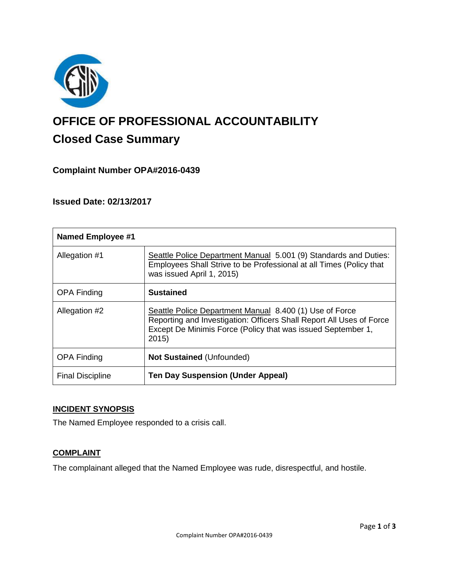

# **OFFICE OF PROFESSIONAL ACCOUNTABILITY Closed Case Summary**

# **Complaint Number OPA#2016-0439**

### **Issued Date: 02/13/2017**

| <b>Named Employee #1</b> |                                                                                                                                                                                                         |
|--------------------------|---------------------------------------------------------------------------------------------------------------------------------------------------------------------------------------------------------|
| Allegation #1            | Seattle Police Department Manual 5.001 (9) Standards and Duties:<br>Employees Shall Strive to be Professional at all Times (Policy that<br>was issued April 1, 2015)                                    |
| <b>OPA Finding</b>       | <b>Sustained</b>                                                                                                                                                                                        |
| Allegation #2            | Seattle Police Department Manual 8.400 (1) Use of Force<br>Reporting and Investigation: Officers Shall Report All Uses of Force<br>Except De Minimis Force (Policy that was issued September 1,<br>2015 |
| <b>OPA Finding</b>       | <b>Not Sustained (Unfounded)</b>                                                                                                                                                                        |
| <b>Final Discipline</b>  | <b>Ten Day Suspension (Under Appeal)</b>                                                                                                                                                                |

## **INCIDENT SYNOPSIS**

The Named Employee responded to a crisis call.

#### **COMPLAINT**

The complainant alleged that the Named Employee was rude, disrespectful, and hostile.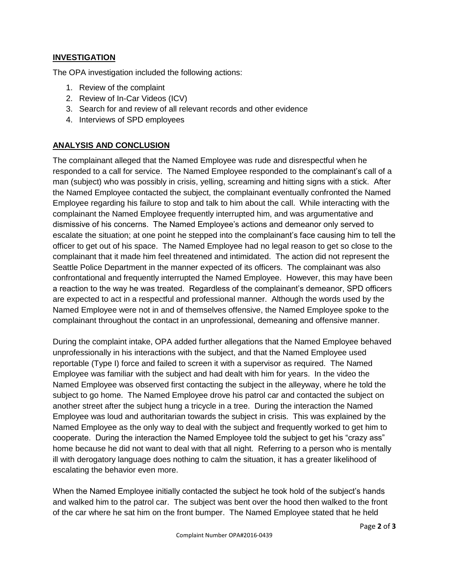#### **INVESTIGATION**

The OPA investigation included the following actions:

- 1. Review of the complaint
- 2. Review of In-Car Videos (ICV)
- 3. Search for and review of all relevant records and other evidence
- 4. Interviews of SPD employees

#### **ANALYSIS AND CONCLUSION**

The complainant alleged that the Named Employee was rude and disrespectful when he responded to a call for service. The Named Employee responded to the complainant's call of a man (subject) who was possibly in crisis, yelling, screaming and hitting signs with a stick. After the Named Employee contacted the subject, the complainant eventually confronted the Named Employee regarding his failure to stop and talk to him about the call. While interacting with the complainant the Named Employee frequently interrupted him, and was argumentative and dismissive of his concerns. The Named Employee's actions and demeanor only served to escalate the situation; at one point he stepped into the complainant's face causing him to tell the officer to get out of his space. The Named Employee had no legal reason to get so close to the complainant that it made him feel threatened and intimidated. The action did not represent the Seattle Police Department in the manner expected of its officers. The complainant was also confrontational and frequently interrupted the Named Employee. However, this may have been a reaction to the way he was treated. Regardless of the complainant's demeanor, SPD officers are expected to act in a respectful and professional manner. Although the words used by the Named Employee were not in and of themselves offensive, the Named Employee spoke to the complainant throughout the contact in an unprofessional, demeaning and offensive manner.

During the complaint intake, OPA added further allegations that the Named Employee behaved unprofessionally in his interactions with the subject, and that the Named Employee used reportable (Type I) force and failed to screen it with a supervisor as required. The Named Employee was familiar with the subject and had dealt with him for years. In the video the Named Employee was observed first contacting the subject in the alleyway, where he told the subject to go home. The Named Employee drove his patrol car and contacted the subject on another street after the subject hung a tricycle in a tree. During the interaction the Named Employee was loud and authoritarian towards the subject in crisis. This was explained by the Named Employee as the only way to deal with the subject and frequently worked to get him to cooperate. During the interaction the Named Employee told the subject to get his "crazy ass" home because he did not want to deal with that all night. Referring to a person who is mentally ill with derogatory language does nothing to calm the situation, it has a greater likelihood of escalating the behavior even more.

When the Named Employee initially contacted the subject he took hold of the subject's hands and walked him to the patrol car. The subject was bent over the hood then walked to the front of the car where he sat him on the front bumper. The Named Employee stated that he held